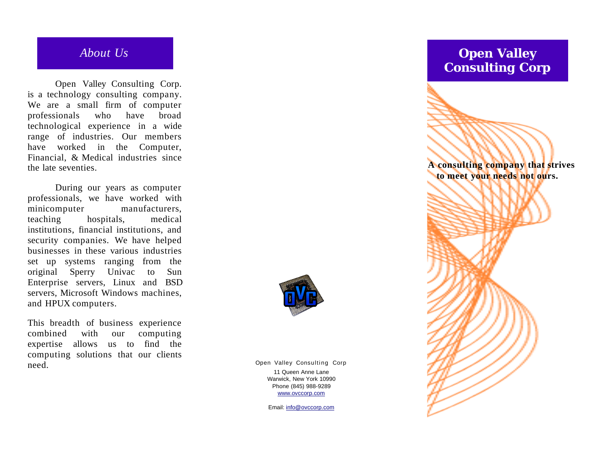## *A b o u t Us*

Open Valley Consulting Corp. is a technology consulting company. We are a small firm of computer professionals w h o h a v e b r o a d technological experience in a wide range of industries. Our members have worked in the Computer, Financial, & Medical industries since the late seventies.

During our years as computer professionals, we have worked with minicomputer manufacturers, teaching hospitals, medical institutions, financial institutions, and security companies. We have helped businesses in these various industries set up systems ranging from the original Sperry Univac t o Sun Enterprise servers, Linux and BSD servers, Microsoft Windows machines, and HPUX computers.

This breadth of business experience combined with o u r computing expertise allows us to find the computing solutions that our clients need.

Open Valley Consulting Corp 11 Queen Anne Lane Warwick, New York 10990 Phone (845) 988-9289 www.ovccorp.com

Email: info@ovccorp.com

# **Open Valley Consulting Corp** A consulting company that strives **to meet your needs not ours.**